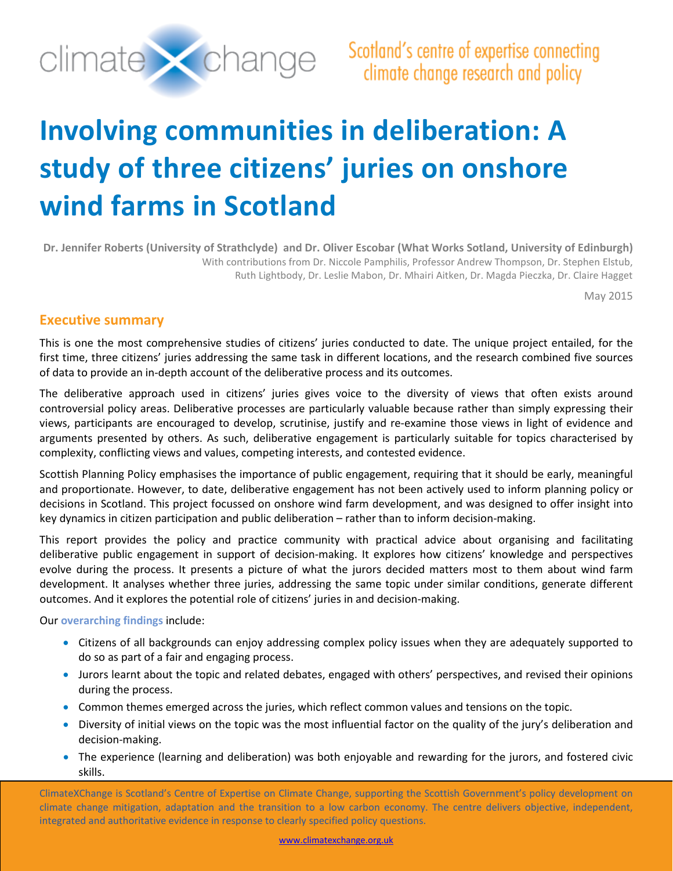

# **Involving communities in deliberation: A study of three citizens' juries on onshore wind farms in Scotland**

**Dr. Jennifer Roberts (University of Strathclyde) and Dr. Oliver Escobar (What Works Sotland, University of Edinburgh)** With contributions from Dr. Niccole Pamphilis, Professor Andrew Thompson, Dr. Stephen Elstub, Ruth Lightbody, Dr. Leslie Mabon, Dr. Mhairi Aitken, Dr. Magda Pieczka, Dr. Claire Hagget

May 2015

# **Executive summary**

This is one the most comprehensive studies of citizens' juries conducted to date. The unique project entailed, for the first time, three citizens' juries addressing the same task in different locations, and the research combined five sources of data to provide an in-depth account of the deliberative process and its outcomes.

The deliberative approach used in citizens' juries gives voice to the diversity of views that often exists around controversial policy areas. Deliberative processes are particularly valuable because rather than simply expressing their views, participants are encouraged to develop, scrutinise, justify and re-examine those views in light of evidence and arguments presented by others. As such, deliberative engagement is particularly suitable for topics characterised by complexity, conflicting views and values, competing interests, and contested evidence.

Scottish Planning Policy emphasises the importance of public engagement, requiring that it should be early, meaningful and proportionate. However, to date, deliberative engagement has not been actively used to inform planning policy or decisions in Scotland. This project focussed on onshore wind farm development, and was designed to offer insight into key dynamics in citizen participation and public deliberation – rather than to inform decision-making.

This report provides the policy and practice community with practical advice about organising and facilitating deliberative public engagement in support of decision-making. It explores how citizens' knowledge and perspectives evolve during the process. It presents a picture of what the jurors decided matters most to them about wind farm development. It analyses whether three juries, addressing the same topic under similar conditions, generate different outcomes. And it explores the potential role of citizens' juries in and decision-making.

Our **overarching findings** include:

- Citizens of all backgrounds can enjoy addressing complex policy issues when they are adequately supported to do so as part of a fair and engaging process.
- Jurors learnt about the topic and related debates, engaged with others' perspectives, and revised their opinions during the process.
- Common themes emerged across the juries, which reflect common values and tensions on the topic.
- Diversity of initial views on the topic was the most influential factor on the quality of the jury's deliberation and decision-making.
- The experience (learning and deliberation) was both enjoyable and rewarding for the jurors, and fostered civic skills.

ClimateXChange is Scotland's Centre of Expertise on Climate Change, supporting the Scottish Government's policy development on climate change mitigation, adaptation and the transition to a low carbon economy. The centre delivers objective, independent, integrated and authoritative evidence in response to clearly specified policy questions.

www.climatexchange.org.uk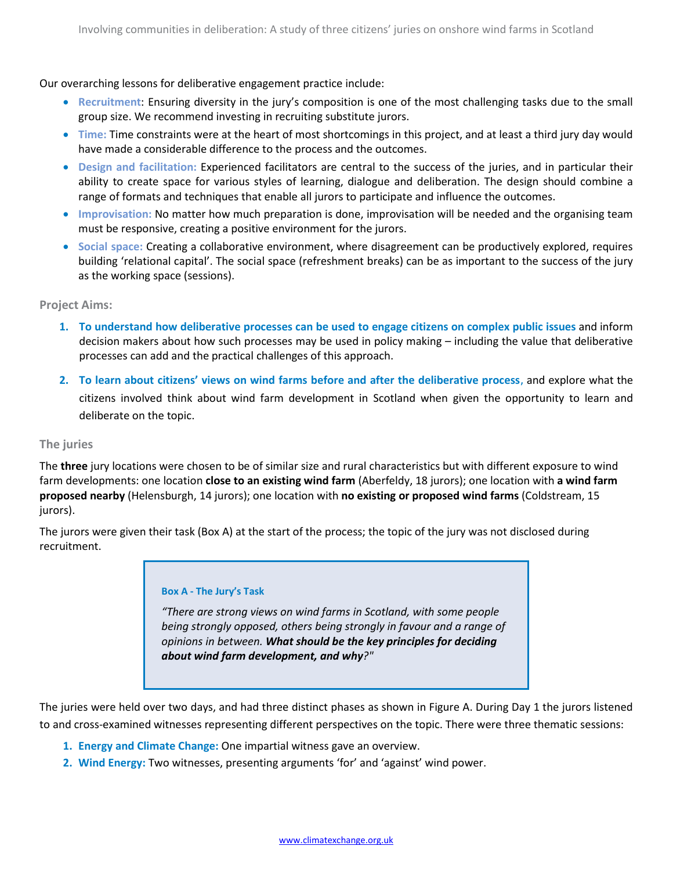Our overarching lessons for deliberative engagement practice include:

- **Recruitment**: Ensuring diversity in the jury's composition is one of the most challenging tasks due to the small group size. We recommend investing in recruiting substitute jurors.
- **Time:** Time constraints were at the heart of most shortcomings in this project, and at least a third jury day would have made a considerable difference to the process and the outcomes.
- **Design and facilitation:** Experienced facilitators are central to the success of the juries, and in particular their ability to create space for various styles of learning, dialogue and deliberation. The design should combine a range of formats and techniques that enable all jurors to participate and influence the outcomes.
- **Improvisation:** No matter how much preparation is done, improvisation will be needed and the organising team must be responsive, creating a positive environment for the jurors.
- **Social space:** Creating a collaborative environment, where disagreement can be productively explored, requires building 'relational capital'. The social space (refreshment breaks) can be as important to the success of the jury as the working space (sessions).

### **Project Aims:**

- **1. To understand how deliberative processes can be used to engage citizens on complex public issues** and inform decision makers about how such processes may be used in policy making – including the value that deliberative processes can add and the practical challenges of this approach.
- **2. To learn about citizens' views on wind farms before and after the deliberative process**, and explore what the citizens involved think about wind farm development in Scotland when given the opportunity to learn and deliberate on the topic.

#### **The juries**

The **three** jury locations were chosen to be of similar size and rural characteristics but with different exposure to wind farm developments: one location **close to an existing wind farm** (Aberfeldy, 18 jurors); one location with **a wind farm proposed nearby** (Helensburgh, 14 jurors); one location with **no existing or proposed wind farms** (Coldstream, 15 jurors).

The jurors were given their task (Box A) at the start of the process; the topic of the jury was not disclosed during recruitment.

#### **Box A - The Jury's Task**

*"There are strong views on wind farms in Scotland, with some people being strongly opposed, others being strongly in favour and a range of opinions in between. What should be the key principles for deciding about wind farm development, and why?"*

The juries were held over two days, and had three distinct phases as shown in Figure A. During Day 1 the jurors listened to and cross-examined witnesses representing different perspectives on the topic. There were three thematic sessions:

- **1. Energy and Climate Change:** One impartial witness gave an overview.
- **2. Wind Energy:** Two witnesses, presenting arguments 'for' and 'against' wind power.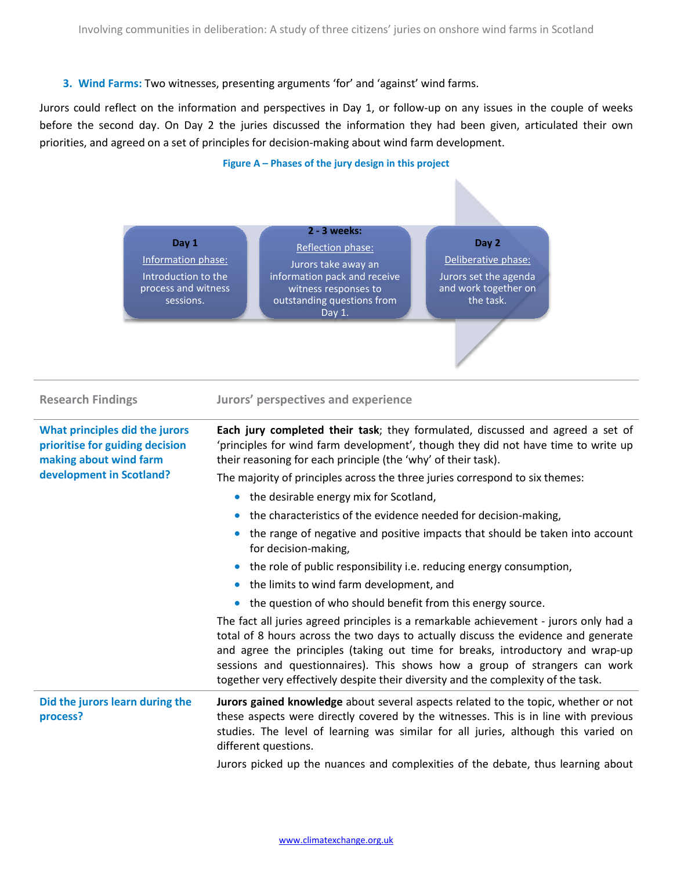**3. Wind Farms:** Two witnesses, presenting arguments 'for' and 'against' wind farms.

**Research Findings Jurors' perspectives and experience**

Jurors could reflect on the information and perspectives in Day 1, or follow-up on any issues in the couple of weeks before the second day. On Day 2 the juries discussed the information they had been given, articulated their own priorities, and agreed on a set of principles for decision-making about wind farm development.

#### **Figure A – Phases of the jury design in this project**



| What principles did the jurors<br>prioritise for guiding decision<br>making about wind farm<br>development in Scotland? | Each jury completed their task; they formulated, discussed and agreed a set of<br>'principles for wind farm development', though they did not have time to write up<br>their reasoning for each principle (the 'why' of their task).                                                                                                                                                                                             |
|-------------------------------------------------------------------------------------------------------------------------|----------------------------------------------------------------------------------------------------------------------------------------------------------------------------------------------------------------------------------------------------------------------------------------------------------------------------------------------------------------------------------------------------------------------------------|
|                                                                                                                         | The majority of principles across the three juries correspond to six themes:                                                                                                                                                                                                                                                                                                                                                     |
|                                                                                                                         | • the desirable energy mix for Scotland,                                                                                                                                                                                                                                                                                                                                                                                         |
|                                                                                                                         | the characteristics of the evidence needed for decision-making,<br>$\bullet$                                                                                                                                                                                                                                                                                                                                                     |
|                                                                                                                         | the range of negative and positive impacts that should be taken into account<br>for decision-making,                                                                                                                                                                                                                                                                                                                             |
|                                                                                                                         | • the role of public responsibility i.e. reducing energy consumption,                                                                                                                                                                                                                                                                                                                                                            |
|                                                                                                                         | • the limits to wind farm development, and                                                                                                                                                                                                                                                                                                                                                                                       |
|                                                                                                                         | the question of who should benefit from this energy source.<br>$\bullet$                                                                                                                                                                                                                                                                                                                                                         |
|                                                                                                                         | The fact all juries agreed principles is a remarkable achievement - jurors only had a<br>total of 8 hours across the two days to actually discuss the evidence and generate<br>and agree the principles (taking out time for breaks, introductory and wrap-up<br>sessions and questionnaires). This shows how a group of strangers can work<br>together very effectively despite their diversity and the complexity of the task. |
| Did the jurors learn during the<br>process?                                                                             | Jurors gained knowledge about several aspects related to the topic, whether or not<br>these aspects were directly covered by the witnesses. This is in line with previous<br>studies. The level of learning was similar for all juries, although this varied on<br>different questions.                                                                                                                                          |
|                                                                                                                         | Jurors picked up the nuances and complexities of the debate, thus learning about                                                                                                                                                                                                                                                                                                                                                 |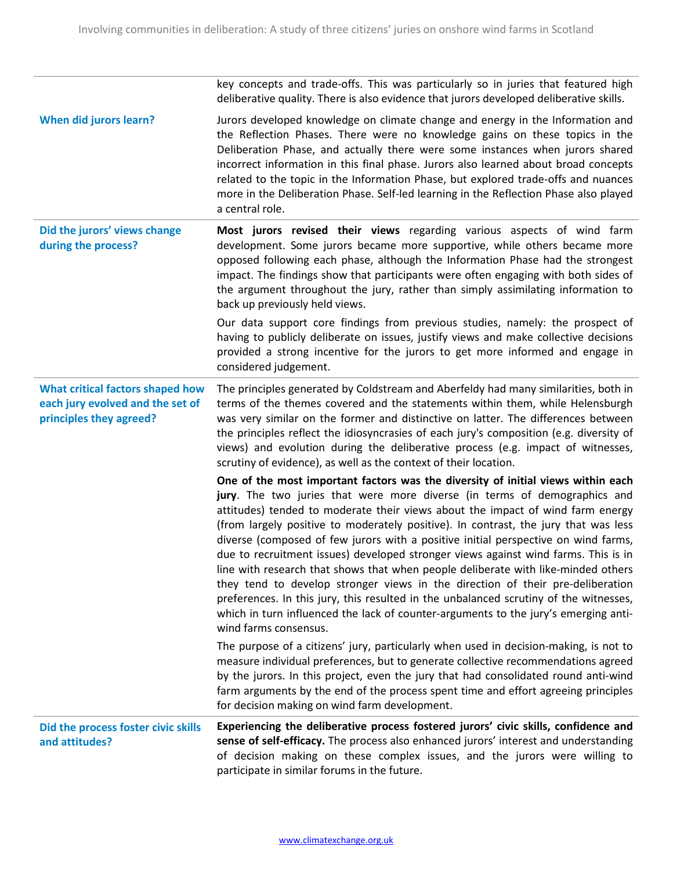| Did the process foster civic skills<br>and attitudes?                                           | Experiencing the deliberative process fostered jurors' civic skills, confidence and<br>sense of self-efficacy. The process also enhanced jurors' interest and understanding<br>of decision making on these complex issues, and the jurors were willing to<br>participate in similar forums in the future.                                                                                                                                                                                                                                                                                                                                                                                                                                                                                                                                                                                          |
|-------------------------------------------------------------------------------------------------|----------------------------------------------------------------------------------------------------------------------------------------------------------------------------------------------------------------------------------------------------------------------------------------------------------------------------------------------------------------------------------------------------------------------------------------------------------------------------------------------------------------------------------------------------------------------------------------------------------------------------------------------------------------------------------------------------------------------------------------------------------------------------------------------------------------------------------------------------------------------------------------------------|
|                                                                                                 | The purpose of a citizens' jury, particularly when used in decision-making, is not to<br>measure individual preferences, but to generate collective recommendations agreed<br>by the jurors. In this project, even the jury that had consolidated round anti-wind<br>farm arguments by the end of the process spent time and effort agreeing principles<br>for decision making on wind farm development.                                                                                                                                                                                                                                                                                                                                                                                                                                                                                           |
|                                                                                                 | One of the most important factors was the diversity of initial views within each<br>jury. The two juries that were more diverse (in terms of demographics and<br>attitudes) tended to moderate their views about the impact of wind farm energy<br>(from largely positive to moderately positive). In contrast, the jury that was less<br>diverse (composed of few jurors with a positive initial perspective on wind farms,<br>due to recruitment issues) developed stronger views against wind farms. This is in<br>line with research that shows that when people deliberate with like-minded others<br>they tend to develop stronger views in the direction of their pre-deliberation<br>preferences. In this jury, this resulted in the unbalanced scrutiny of the witnesses,<br>which in turn influenced the lack of counter-arguments to the jury's emerging anti-<br>wind farms consensus. |
| What critical factors shaped how<br>each jury evolved and the set of<br>principles they agreed? | The principles generated by Coldstream and Aberfeldy had many similarities, both in<br>terms of the themes covered and the statements within them, while Helensburgh<br>was very similar on the former and distinctive on latter. The differences between<br>the principles reflect the idiosyncrasies of each jury's composition (e.g. diversity of<br>views) and evolution during the deliberative process (e.g. impact of witnesses,<br>scrutiny of evidence), as well as the context of their location.                                                                                                                                                                                                                                                                                                                                                                                        |
|                                                                                                 | Our data support core findings from previous studies, namely: the prospect of<br>having to publicly deliberate on issues, justify views and make collective decisions<br>provided a strong incentive for the jurors to get more informed and engage in<br>considered judgement.                                                                                                                                                                                                                                                                                                                                                                                                                                                                                                                                                                                                                    |
| Did the jurors' views change<br>during the process?                                             | Most jurors revised their views regarding various aspects of wind farm<br>development. Some jurors became more supportive, while others became more<br>opposed following each phase, although the Information Phase had the strongest<br>impact. The findings show that participants were often engaging with both sides of<br>the argument throughout the jury, rather than simply assimilating information to<br>back up previously held views.                                                                                                                                                                                                                                                                                                                                                                                                                                                  |
| <b>When did jurors learn?</b>                                                                   | Jurors developed knowledge on climate change and energy in the Information and<br>the Reflection Phases. There were no knowledge gains on these topics in the<br>Deliberation Phase, and actually there were some instances when jurors shared<br>incorrect information in this final phase. Jurors also learned about broad concepts<br>related to the topic in the Information Phase, but explored trade-offs and nuances<br>more in the Deliberation Phase. Self-led learning in the Reflection Phase also played<br>a central role.                                                                                                                                                                                                                                                                                                                                                            |
|                                                                                                 | key concepts and trade-offs. This was particularly so in juries that featured high<br>deliberative quality. There is also evidence that jurors developed deliberative skills.                                                                                                                                                                                                                                                                                                                                                                                                                                                                                                                                                                                                                                                                                                                      |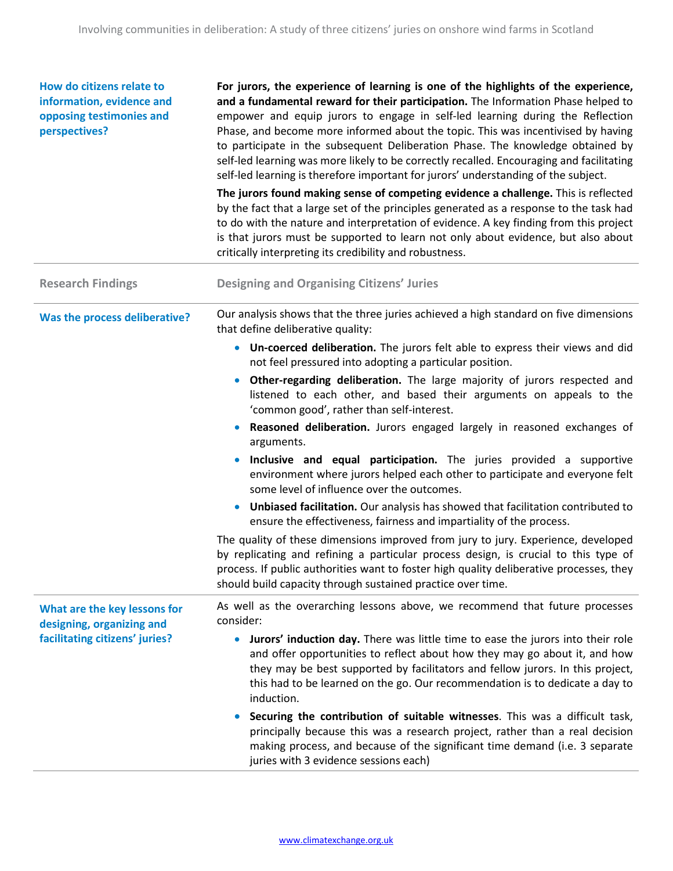| How do citizens relate to<br>information, evidence and<br>opposing testimonies and<br>perspectives? | For jurors, the experience of learning is one of the highlights of the experience,<br>and a fundamental reward for their participation. The Information Phase helped to<br>empower and equip jurors to engage in self-led learning during the Reflection<br>Phase, and become more informed about the topic. This was incentivised by having<br>to participate in the subsequent Deliberation Phase. The knowledge obtained by<br>self-led learning was more likely to be correctly recalled. Encouraging and facilitating<br>self-led learning is therefore important for jurors' understanding of the subject.<br>The jurors found making sense of competing evidence a challenge. This is reflected<br>by the fact that a large set of the principles generated as a response to the task had<br>to do with the nature and interpretation of evidence. A key finding from this project<br>is that jurors must be supported to learn not only about evidence, but also about<br>critically interpreting its credibility and robustness. |
|-----------------------------------------------------------------------------------------------------|-------------------------------------------------------------------------------------------------------------------------------------------------------------------------------------------------------------------------------------------------------------------------------------------------------------------------------------------------------------------------------------------------------------------------------------------------------------------------------------------------------------------------------------------------------------------------------------------------------------------------------------------------------------------------------------------------------------------------------------------------------------------------------------------------------------------------------------------------------------------------------------------------------------------------------------------------------------------------------------------------------------------------------------------|
| <b>Research Findings</b>                                                                            | <b>Designing and Organising Citizens' Juries</b>                                                                                                                                                                                                                                                                                                                                                                                                                                                                                                                                                                                                                                                                                                                                                                                                                                                                                                                                                                                          |
| Was the process deliberative?                                                                       | Our analysis shows that the three juries achieved a high standard on five dimensions<br>that define deliberative quality:                                                                                                                                                                                                                                                                                                                                                                                                                                                                                                                                                                                                                                                                                                                                                                                                                                                                                                                 |
|                                                                                                     | • Un-coerced deliberation. The jurors felt able to express their views and did<br>not feel pressured into adopting a particular position.                                                                                                                                                                                                                                                                                                                                                                                                                                                                                                                                                                                                                                                                                                                                                                                                                                                                                                 |
|                                                                                                     | Other-regarding deliberation. The large majority of jurors respected and<br>listened to each other, and based their arguments on appeals to the<br>'common good', rather than self-interest.                                                                                                                                                                                                                                                                                                                                                                                                                                                                                                                                                                                                                                                                                                                                                                                                                                              |
|                                                                                                     | Reasoned deliberation. Jurors engaged largely in reasoned exchanges of<br>$\bullet$<br>arguments.                                                                                                                                                                                                                                                                                                                                                                                                                                                                                                                                                                                                                                                                                                                                                                                                                                                                                                                                         |
|                                                                                                     | Inclusive and equal participation. The juries provided a supportive<br>$\bullet$<br>environment where jurors helped each other to participate and everyone felt<br>some level of influence over the outcomes.                                                                                                                                                                                                                                                                                                                                                                                                                                                                                                                                                                                                                                                                                                                                                                                                                             |
|                                                                                                     | • Unbiased facilitation. Our analysis has showed that facilitation contributed to<br>ensure the effectiveness, fairness and impartiality of the process.                                                                                                                                                                                                                                                                                                                                                                                                                                                                                                                                                                                                                                                                                                                                                                                                                                                                                  |
|                                                                                                     | The quality of these dimensions improved from jury to jury. Experience, developed<br>by replicating and refining a particular process design, is crucial to this type of<br>process. If public authorities want to foster high quality deliberative processes, they<br>should build capacity through sustained practice over time.                                                                                                                                                                                                                                                                                                                                                                                                                                                                                                                                                                                                                                                                                                        |
| What are the key lessons for<br>designing, organizing and<br>facilitating citizens' juries?         | As well as the overarching lessons above, we recommend that future processes<br>consider:                                                                                                                                                                                                                                                                                                                                                                                                                                                                                                                                                                                                                                                                                                                                                                                                                                                                                                                                                 |
|                                                                                                     | Jurors' induction day. There was little time to ease the jurors into their role<br>$\bullet$<br>and offer opportunities to reflect about how they may go about it, and how<br>they may be best supported by facilitators and fellow jurors. In this project,<br>this had to be learned on the go. Our recommendation is to dedicate a day to<br>induction.                                                                                                                                                                                                                                                                                                                                                                                                                                                                                                                                                                                                                                                                                |
|                                                                                                     | Securing the contribution of suitable witnesses. This was a difficult task,<br>$\bullet$<br>principally because this was a research project, rather than a real decision<br>making process, and because of the significant time demand (i.e. 3 separate<br>juries with 3 evidence sessions each)                                                                                                                                                                                                                                                                                                                                                                                                                                                                                                                                                                                                                                                                                                                                          |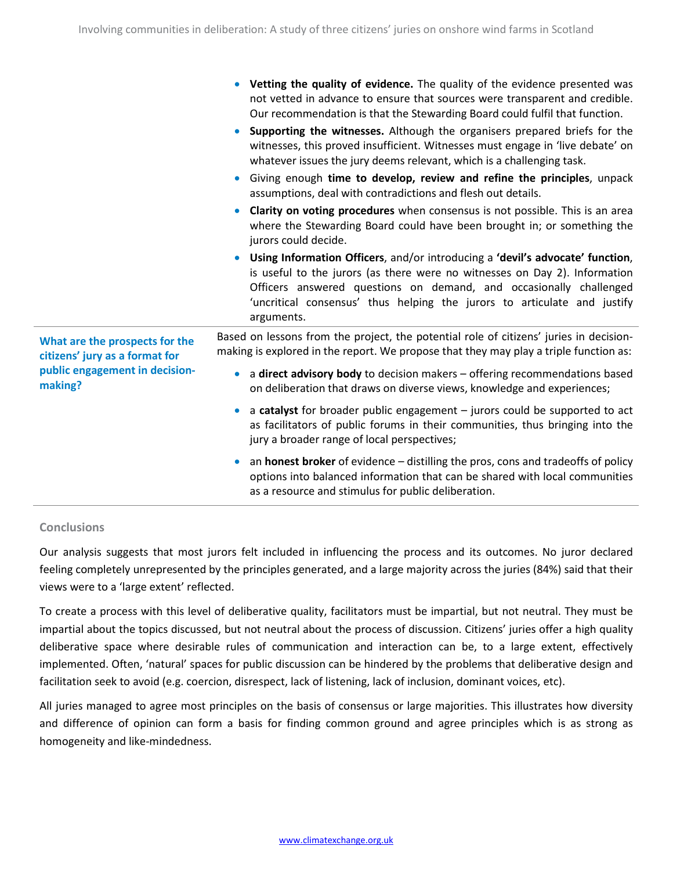|                                                                                                               | Vetting the quality of evidence. The quality of the evidence presented was<br>not vetted in advance to ensure that sources were transparent and credible.<br>Our recommendation is that the Stewarding Board could fulfil that function.<br>Supporting the witnesses. Although the organisers prepared briefs for the<br>witnesses, this proved insufficient. Witnesses must engage in 'live debate' on<br>whatever issues the jury deems relevant, which is a challenging task. |
|---------------------------------------------------------------------------------------------------------------|----------------------------------------------------------------------------------------------------------------------------------------------------------------------------------------------------------------------------------------------------------------------------------------------------------------------------------------------------------------------------------------------------------------------------------------------------------------------------------|
|                                                                                                               | Giving enough time to develop, review and refine the principles, unpack<br>assumptions, deal with contradictions and flesh out details.                                                                                                                                                                                                                                                                                                                                          |
|                                                                                                               | Clarity on voting procedures when consensus is not possible. This is an area<br>where the Stewarding Board could have been brought in; or something the<br>jurors could decide.                                                                                                                                                                                                                                                                                                  |
|                                                                                                               | Using Information Officers, and/or introducing a 'devil's advocate' function,<br>is useful to the jurors (as there were no witnesses on Day 2). Information<br>Officers answered questions on demand, and occasionally challenged<br>'uncritical consensus' thus helping the jurors to articulate and justify<br>arguments.                                                                                                                                                      |
| What are the prospects for the<br>citizens' jury as a format for<br>public engagement in decision-<br>making? | Based on lessons from the project, the potential role of citizens' juries in decision-<br>making is explored in the report. We propose that they may play a triple function as:                                                                                                                                                                                                                                                                                                  |
|                                                                                                               | a direct advisory body to decision makers - offering recommendations based<br>$\bullet$<br>on deliberation that draws on diverse views, knowledge and experiences;                                                                                                                                                                                                                                                                                                               |
|                                                                                                               | a catalyst for broader public engagement $-$ jurors could be supported to act<br>as facilitators of public forums in their communities, thus bringing into the<br>jury a broader range of local perspectives;                                                                                                                                                                                                                                                                    |
|                                                                                                               | an <b>honest broker</b> of evidence – distilling the pros, cons and tradeoffs of policy<br>options into balanced information that can be shared with local communities<br>as a resource and stimulus for public deliberation.                                                                                                                                                                                                                                                    |

## **Conclusions**

Our analysis suggests that most jurors felt included in influencing the process and its outcomes. No juror declared feeling completely unrepresented by the principles generated, and a large majority across the juries (84%) said that their views were to a 'large extent' reflected.

To create a process with this level of deliberative quality, facilitators must be impartial, but not neutral. They must be impartial about the topics discussed, but not neutral about the process of discussion. Citizens' juries offer a high quality deliberative space where desirable rules of communication and interaction can be, to a large extent, effectively implemented. Often, 'natural' spaces for public discussion can be hindered by the problems that deliberative design and facilitation seek to avoid (e.g. coercion, disrespect, lack of listening, lack of inclusion, dominant voices, etc).

All juries managed to agree most principles on the basis of consensus or large majorities. This illustrates how diversity and difference of opinion can form a basis for finding common ground and agree principles which is as strong as homogeneity and like-mindedness.